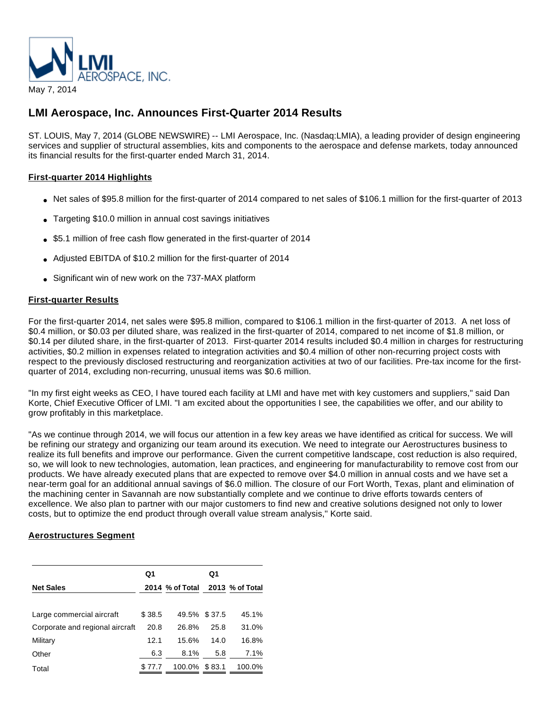

# **LMI Aerospace, Inc. Announces First-Quarter 2014 Results**

ST. LOUIS, May 7, 2014 (GLOBE NEWSWIRE) -- LMI Aerospace, Inc. (Nasdaq:LMIA), a leading provider of design engineering services and supplier of structural assemblies, kits and components to the aerospace and defense markets, today announced its financial results for the first-quarter ended March 31, 2014.

## **First-quarter 2014 Highlights**

- Net sales of \$95.8 million for the first-quarter of 2014 compared to net sales of \$106.1 million for the first-quarter of 2013
- Targeting \$10.0 million in annual cost savings initiatives
- \$5.1 million of free cash flow generated in the first-quarter of 2014
- Adjusted EBITDA of \$10.2 million for the first-quarter of 2014
- Significant win of new work on the 737-MAX platform

## **First-quarter Results**

For the first-quarter 2014, net sales were \$95.8 million, compared to \$106.1 million in the first-quarter of 2013. A net loss of \$0.4 million, or \$0.03 per diluted share, was realized in the first-quarter of 2014, compared to net income of \$1.8 million, or \$0.14 per diluted share, in the first-quarter of 2013. First-quarter 2014 results included \$0.4 million in charges for restructuring activities, \$0.2 million in expenses related to integration activities and \$0.4 million of other non-recurring project costs with respect to the previously disclosed restructuring and reorganization activities at two of our facilities. Pre-tax income for the firstquarter of 2014, excluding non-recurring, unusual items was \$0.6 million.

"In my first eight weeks as CEO, I have toured each facility at LMI and have met with key customers and suppliers," said Dan Korte, Chief Executive Officer of LMI. "I am excited about the opportunities I see, the capabilities we offer, and our ability to grow profitably in this marketplace.

"As we continue through 2014, we will focus our attention in a few key areas we have identified as critical for success. We will be refining our strategy and organizing our team around its execution. We need to integrate our Aerostructures business to realize its full benefits and improve our performance. Given the current competitive landscape, cost reduction is also required, so, we will look to new technologies, automation, lean practices, and engineering for manufacturability to remove cost from our products. We have already executed plans that are expected to remove over \$4.0 million in annual costs and we have set a near-term goal for an additional annual savings of \$6.0 million. The closure of our Fort Worth, Texas, plant and elimination of the machining center in Savannah are now substantially complete and we continue to drive efforts towards centers of excellence. We also plan to partner with our major customers to find new and creative solutions designed not only to lower costs, but to optimize the end product through overall value stream analysis," Korte said.

## **Aerostructures Segment**

|                                 | Q1     |                 | Q1   |                 |
|---------------------------------|--------|-----------------|------|-----------------|
| <b>Net Sales</b>                |        | 2014 % of Total |      | 2013 % of Total |
| Large commercial aircraft       | \$38.5 | 49.5% \$37.5    |      | 45.1%           |
| Corporate and regional aircraft | 20.8   | 26.8%           | 25.8 | 31.0%           |
| Military                        | 12.1   | 15.6%           | 14.0 | 16.8%           |
| Other                           | 6.3    | 8.1%            | 5.8  | 7.1%            |
| Total                           | \$77.7 | 100.0% \$83.1   |      | 100.0%          |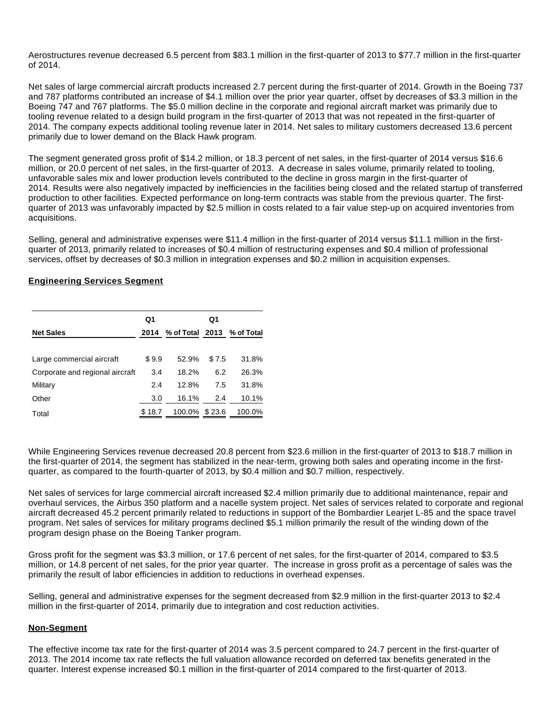Aerostructures revenue decreased 6.5 percent from \$83.1 million in the first-quarter of 2013 to \$77.7 million in the first-quarter of 2014.

Net sales of large commercial aircraft products increased 2.7 percent during the first-quarter of 2014. Growth in the Boeing 737 and 787 platforms contributed an increase of \$4.1 million over the prior year quarter, offset by decreases of \$3.3 million in the Boeing 747 and 767 platforms. The \$5.0 million decline in the corporate and regional aircraft market was primarily due to tooling revenue related to a design build program in the first-quarter of 2013 that was not repeated in the first-quarter of 2014. The company expects additional tooling revenue later in 2014. Net sales to military customers decreased 13.6 percent primarily due to lower demand on the Black Hawk program.

The segment generated gross profit of \$14.2 million, or 18.3 percent of net sales, in the first-quarter of 2014 versus \$16.6 million, or 20.0 percent of net sales, in the first-quarter of 2013. A decrease in sales volume, primarily related to tooling, unfavorable sales mix and lower production levels contributed to the decline in gross margin in the first-quarter of 2014. Results were also negatively impacted by inefficiencies in the facilities being closed and the related startup of transferred production to other facilities. Expected performance on long-term contracts was stable from the previous quarter. The firstquarter of 2013 was unfavorably impacted by \$2.5 million in costs related to a fair value step-up on acquired inventories from acquisitions.

Selling, general and administrative expenses were \$11.4 million in the first-quarter of 2014 versus \$11.1 million in the firstquarter of 2013, primarily related to increases of \$0.4 million of restructuring expenses and \$0.4 million of professional services, offset by decreases of \$0.3 million in integration expenses and \$0.2 million in acquisition expenses.

## **Engineering Services Segment**

|                                 | Q1     |                                 | Q1    |        |
|---------------------------------|--------|---------------------------------|-------|--------|
| <b>Net Sales</b>                |        | 2014 % of Total 2013 % of Total |       |        |
| Large commercial aircraft       | \$9.9  | 52.9%                           | \$7.5 | 31.8%  |
| Corporate and regional aircraft | 3.4    | 18.2%                           | 6.2   | 26.3%  |
| Military                        | 2.4    | 12.8%                           | 7.5   | 31.8%  |
| Other                           | 3.0    | 16.1%                           | 2.4   | 10.1%  |
| Total                           | \$18.7 | 100.0% \$23.6                   |       | 100.0% |

While Engineering Services revenue decreased 20.8 percent from \$23.6 million in the first-quarter of 2013 to \$18.7 million in the first-quarter of 2014, the segment has stabilized in the near-term, growing both sales and operating income in the firstquarter, as compared to the fourth-quarter of 2013, by \$0.4 million and \$0.7 million, respectively.

Net sales of services for large commercial aircraft increased \$2.4 million primarily due to additional maintenance, repair and overhaul services, the Airbus 350 platform and a nacelle system project. Net sales of services related to corporate and regional aircraft decreased 45.2 percent primarily related to reductions in support of the Bombardier Learjet L-85 and the space travel program. Net sales of services for military programs declined \$5.1 million primarily the result of the winding down of the program design phase on the Boeing Tanker program.

Gross profit for the segment was \$3.3 million, or 17.6 percent of net sales, for the first-quarter of 2014, compared to \$3.5 million, or 14.8 percent of net sales, for the prior year quarter. The increase in gross profit as a percentage of sales was the primarily the result of labor efficiencies in addition to reductions in overhead expenses.

Selling, general and administrative expenses for the segment decreased from \$2.9 million in the first-quarter 2013 to \$2.4 million in the first-quarter of 2014, primarily due to integration and cost reduction activities.

#### **Non-Segment**

The effective income tax rate for the first-quarter of 2014 was 3.5 percent compared to 24.7 percent in the first-quarter of 2013. The 2014 income tax rate reflects the full valuation allowance recorded on deferred tax benefits generated in the quarter. Interest expense increased \$0.1 million in the first-quarter of 2014 compared to the first-quarter of 2013.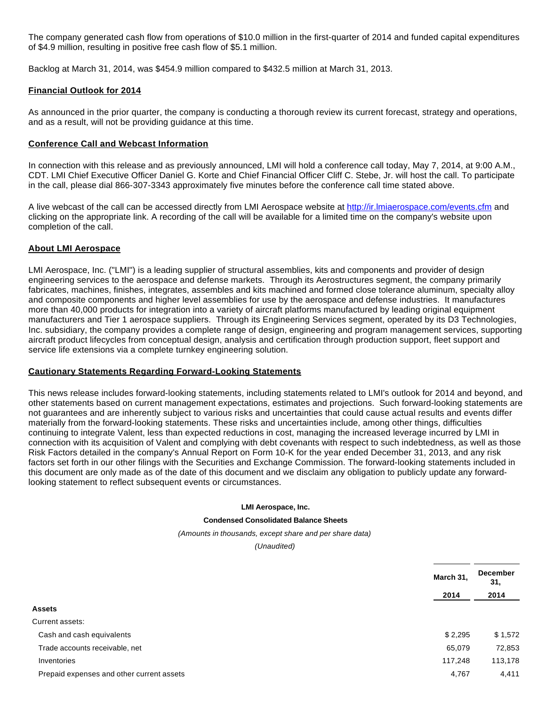The company generated cash flow from operations of \$10.0 million in the first-quarter of 2014 and funded capital expenditures of \$4.9 million, resulting in positive free cash flow of \$5.1 million.

Backlog at March 31, 2014, was \$454.9 million compared to \$432.5 million at March 31, 2013.

## **Financial Outlook for 2014**

As announced in the prior quarter, the company is conducting a thorough review its current forecast, strategy and operations, and as a result, will not be providing guidance at this time.

## **Conference Call and Webcast Information**

In connection with this release and as previously announced, LMI will hold a conference call today, May 7, 2014, at 9:00 A.M., CDT. LMI Chief Executive Officer Daniel G. Korte and Chief Financial Officer Cliff C. Stebe, Jr. will host the call. To participate in the call, please dial 866-307-3343 approximately five minutes before the conference call time stated above.

A live webcast of the call can be accessed directly from LMI Aerospace website at [http://ir.lmiaerospace.com/events.cfm](http://www.globenewswire.com/newsroom/ctr?d=10080395&l=25&u=http%3A%2F%2Fir.lmiaerospace.com%2Fevents.cfm) and clicking on the appropriate link. A recording of the call will be available for a limited time on the company's website upon completion of the call.

## **About LMI Aerospace**

LMI Aerospace, Inc. ("LMI") is a leading supplier of structural assemblies, kits and components and provider of design engineering services to the aerospace and defense markets. Through its Aerostructures segment, the company primarily fabricates, machines, finishes, integrates, assembles and kits machined and formed close tolerance aluminum, specialty alloy and composite components and higher level assemblies for use by the aerospace and defense industries. It manufactures more than 40,000 products for integration into a variety of aircraft platforms manufactured by leading original equipment manufacturers and Tier 1 aerospace suppliers. Through its Engineering Services segment, operated by its D3 Technologies, Inc. subsidiary, the company provides a complete range of design, engineering and program management services, supporting aircraft product lifecycles from conceptual design, analysis and certification through production support, fleet support and service life extensions via a complete turnkey engineering solution.

## **Cautionary Statements Regarding Forward-Looking Statements**

This news release includes forward-looking statements, including statements related to LMI's outlook for 2014 and beyond, and other statements based on current management expectations, estimates and projections. Such forward-looking statements are not guarantees and are inherently subject to various risks and uncertainties that could cause actual results and events differ materially from the forward-looking statements. These risks and uncertainties include, among other things, difficulties continuing to integrate Valent, less than expected reductions in cost, managing the increased leverage incurred by LMI in connection with its acquisition of Valent and complying with debt covenants with respect to such indebtedness, as well as those Risk Factors detailed in the company's Annual Report on Form 10-K for the year ended December 31, 2013, and any risk factors set forth in our other filings with the Securities and Exchange Commission. The forward-looking statements included in this document are only made as of the date of this document and we disclaim any obligation to publicly update any forwardlooking statement to reflect subsequent events or circumstances.

#### **LMI Aerospace, Inc.**

#### **Condensed Consolidated Balance Sheets**

(Amounts in thousands, except share and per share data)

(Unaudited)

|                                           | March 31, | <b>December</b><br>31, |
|-------------------------------------------|-----------|------------------------|
|                                           | 2014      | 2014                   |
| <b>Assets</b>                             |           |                        |
| Current assets:                           |           |                        |
| Cash and cash equivalents                 | \$2,295   | \$1,572                |
| Trade accounts receivable, net            | 65,079    | 72,853                 |
| Inventories                               | 117,248   | 113,178                |
| Prepaid expenses and other current assets | 4,767     | 4,411                  |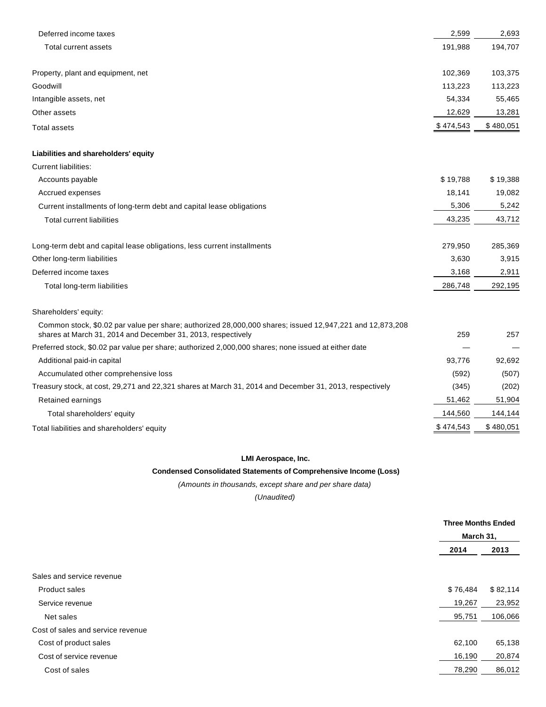| Deferred income taxes                                                                                                                                                    | 2,599     | 2,693     |
|--------------------------------------------------------------------------------------------------------------------------------------------------------------------------|-----------|-----------|
| Total current assets                                                                                                                                                     | 191,988   | 194,707   |
| Property, plant and equipment, net                                                                                                                                       | 102,369   | 103,375   |
| Goodwill                                                                                                                                                                 | 113,223   | 113,223   |
| Intangible assets, net                                                                                                                                                   | 54,334    | 55,465    |
| Other assets                                                                                                                                                             | 12,629    | 13,281    |
| <b>Total assets</b>                                                                                                                                                      | \$474,543 | \$480,051 |
| Liabilities and shareholders' equity                                                                                                                                     |           |           |
| <b>Current liabilities:</b>                                                                                                                                              |           |           |
| Accounts payable                                                                                                                                                         | \$19,788  | \$19,388  |
| Accrued expenses                                                                                                                                                         | 18,141    | 19,082    |
| Current installments of long-term debt and capital lease obligations                                                                                                     | 5,306     | 5,242     |
| <b>Total current liabilities</b>                                                                                                                                         | 43,235    | 43,712    |
| Long-term debt and capital lease obligations, less current installments                                                                                                  | 279,950   | 285,369   |
| Other long-term liabilities                                                                                                                                              | 3,630     | 3,915     |
| Deferred income taxes                                                                                                                                                    | 3,168     | 2,911     |
| Total long-term liabilities                                                                                                                                              | 286,748   | 292,195   |
| Shareholders' equity:                                                                                                                                                    |           |           |
| Common stock, \$0.02 par value per share; authorized 28,000,000 shares; issued 12,947,221 and 12,873,208<br>shares at March 31, 2014 and December 31, 2013, respectively | 259       | 257       |
| Preferred stock, \$0.02 par value per share; authorized 2,000,000 shares; none issued at either date                                                                     |           |           |
| Additional paid-in capital                                                                                                                                               | 93,776    | 92,692    |
| Accumulated other comprehensive loss                                                                                                                                     | (592)     | (507)     |
| Treasury stock, at cost, 29,271 and 22,321 shares at March 31, 2014 and December 31, 2013, respectively                                                                  | (345)     | (202)     |
| Retained earnings                                                                                                                                                        | 51,462    | 51,904    |
| Total shareholders' equity                                                                                                                                               | 144,560   | 144,144   |
| Total liabilities and shareholders' equity                                                                                                                               | \$474,543 | \$480,051 |

## **LMI Aerospace, Inc.**

## **Condensed Consolidated Statements of Comprehensive Income (Loss)**

(Amounts in thousands, except share and per share data)

(Unaudited)

|                                   | <b>Three Months Ended</b><br>March 31, |          |
|-----------------------------------|----------------------------------------|----------|
|                                   |                                        |          |
|                                   | 2014                                   | 2013     |
|                                   |                                        |          |
| Sales and service revenue         |                                        |          |
| Product sales                     | \$76,484                               | \$82,114 |
| Service revenue                   | 19,267                                 | 23,952   |
| Net sales                         | 95,751                                 | 106,066  |
| Cost of sales and service revenue |                                        |          |
| Cost of product sales             | 62,100                                 | 65,138   |
| Cost of service revenue           | 16,190                                 | 20,874   |
| Cost of sales                     | 78,290                                 | 86,012   |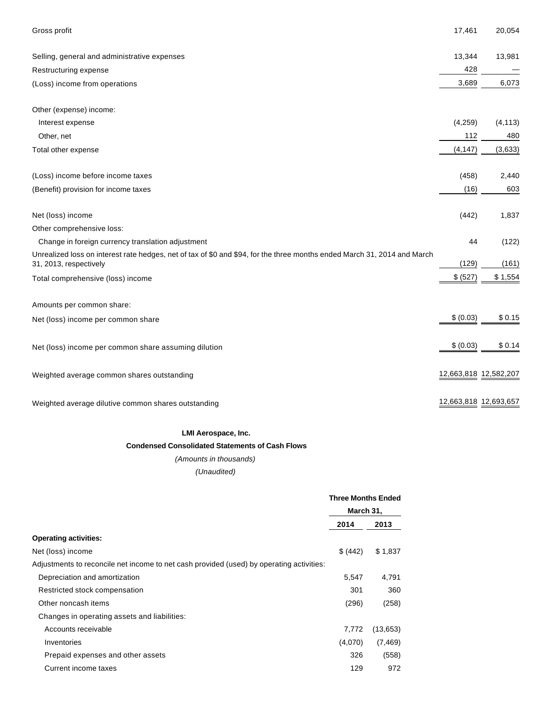| Gross profit                                                                                                                                       | 17,461                | 20,054   |
|----------------------------------------------------------------------------------------------------------------------------------------------------|-----------------------|----------|
| Selling, general and administrative expenses                                                                                                       | 13,344                | 13,981   |
| Restructuring expense                                                                                                                              | 428                   |          |
| (Loss) income from operations                                                                                                                      | 3,689                 | 6,073    |
| Other (expense) income:                                                                                                                            |                       |          |
| Interest expense                                                                                                                                   | (4, 259)              | (4, 113) |
| Other, net                                                                                                                                         | 112                   | 480      |
| Total other expense                                                                                                                                | (4, 147)              | (3,633)  |
| (Loss) income before income taxes                                                                                                                  | (458)                 | 2,440    |
| (Benefit) provision for income taxes                                                                                                               | (16)                  | 603      |
| Net (loss) income                                                                                                                                  | (442)                 | 1,837    |
| Other comprehensive loss:                                                                                                                          |                       |          |
| Change in foreign currency translation adjustment                                                                                                  | 44                    | (122)    |
| Unrealized loss on interest rate hedges, net of tax of \$0 and \$94, for the three months ended March 31, 2014 and March<br>31, 2013, respectively | (129)                 | (161)    |
| Total comprehensive (loss) income                                                                                                                  | \$ (527)              | \$1,554  |
| Amounts per common share:                                                                                                                          |                       |          |
| Net (loss) income per common share                                                                                                                 | \$ (0.03)             | \$0.15   |
| Net (loss) income per common share assuming dilution                                                                                               | \$ (0.03)             | \$0.14   |
| Weighted average common shares outstanding                                                                                                         | 12,663,818 12,582,207 |          |
| Weighted average dilutive common shares outstanding                                                                                                | 12,663,818 12,693,657 |          |

## **LMI Aerospace, Inc.**

## **Condensed Consolidated Statements of Cash Flows**

(Amounts in thousands)

## (Unaudited)

|                                                                                          | <b>Three Months Ended</b><br>March 31, |          |
|------------------------------------------------------------------------------------------|----------------------------------------|----------|
|                                                                                          |                                        |          |
|                                                                                          | 2014                                   | 2013     |
| <b>Operating activities:</b>                                                             |                                        |          |
| Net (loss) income                                                                        | \$ (442)                               | \$1,837  |
| Adjustments to reconcile net income to net cash provided (used) by operating activities: |                                        |          |
| Depreciation and amortization                                                            | 5,547                                  | 4,791    |
| Restricted stock compensation                                                            | 301                                    | 360      |
| Other noncash items                                                                      | (296)                                  | (258)    |
| Changes in operating assets and liabilities:                                             |                                        |          |
| Accounts receivable                                                                      | 7,772                                  | (13,653) |
| Inventories                                                                              | (4,070)                                | (7, 469) |
| Prepaid expenses and other assets                                                        | 326                                    | (558)    |
| Current income taxes                                                                     | 129                                    | 972      |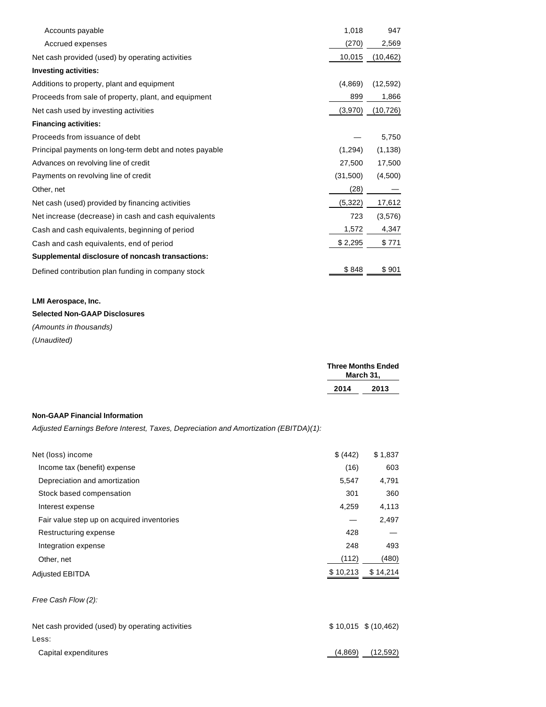| Accounts payable                                       | 1,018    | 947       |
|--------------------------------------------------------|----------|-----------|
| Accrued expenses                                       | (270)    | 2,569     |
| Net cash provided (used) by operating activities       | 10,015   | (10, 462) |
| <b>Investing activities:</b>                           |          |           |
| Additions to property, plant and equipment             | (4,869)  | (12, 592) |
| Proceeds from sale of property, plant, and equipment   | 899      | 1,866     |
| Net cash used by investing activities                  | (3,970)  | (10, 726) |
| <b>Financing activities:</b>                           |          |           |
| Proceeds from issuance of debt                         |          | 5,750     |
| Principal payments on long-term debt and notes payable | (1,294)  | (1, 138)  |
| Advances on revolving line of credit                   | 27,500   | 17,500    |
| Payments on revolving line of credit                   | (31,500) | (4,500)   |
| Other, net                                             | (28)     |           |
| Net cash (used) provided by financing activities       | (5,322)  | 17,612    |
| Net increase (decrease) in cash and cash equivalents   | 723      | (3,576)   |
| Cash and cash equivalents, beginning of period         | 1,572    | 4,347     |
| Cash and cash equivalents, end of period               | \$2,295  | \$771     |
| Supplemental disclosure of noncash transactions:       |          |           |
| Defined contribution plan funding in company stock     | \$848    | \$901     |

#### **LMI Aerospace, Inc.**

## **Selected Non-GAAP Disclosures**

(Amounts in thousands) (Unaudited)

|      | <b>Three Months Ended</b><br>March 31, |
|------|----------------------------------------|
| 2014 | 2013                                   |

## **Non-GAAP Financial Information**

Adjusted Earnings Before Interest, Taxes, Depreciation and Amortization (EBITDA)(1):

| Net (loss) income                                | \$ (442) | \$1,837               |
|--------------------------------------------------|----------|-----------------------|
| Income tax (benefit) expense                     | (16)     | 603                   |
| Depreciation and amortization                    | 5,547    | 4,791                 |
| Stock based compensation                         | 301      | 360                   |
| Interest expense                                 | 4,259    | 4,113                 |
| Fair value step up on acquired inventories       |          | 2,497                 |
| Restructuring expense                            | 428      |                       |
| Integration expense                              | 248      | 493                   |
| Other, net                                       | (112)    | (480)                 |
| <b>Adjusted EBITDA</b>                           | \$10,213 | \$14,214              |
| Free Cash Flow (2):                              |          |                       |
| Net cash provided (used) by operating activities |          | $$10,015$ $$(10,462)$ |
| Less:                                            |          |                       |
| Capital expenditures                             | (4,869)  | (12, 592)             |